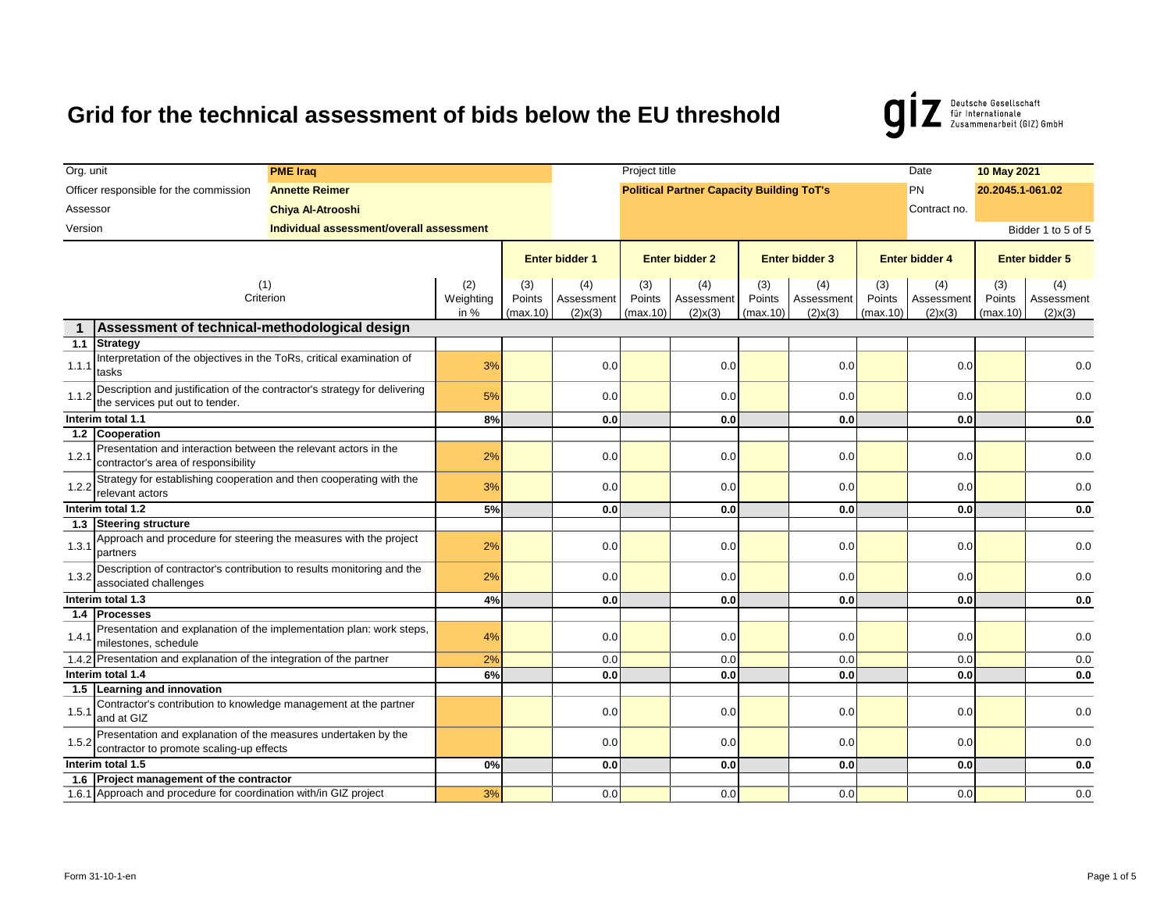

| Org. unit                            |                                                                                                              | <b>PME Iraq</b>                                                      |                           |                                    |                           | Project title                      |                                                  |                                    |                           |                                    | Date                      | 10 May 2021                        |                       |
|--------------------------------------|--------------------------------------------------------------------------------------------------------------|----------------------------------------------------------------------|---------------------------|------------------------------------|---------------------------|------------------------------------|--------------------------------------------------|------------------------------------|---------------------------|------------------------------------|---------------------------|------------------------------------|-----------------------|
|                                      | Officer responsible for the commission                                                                       | <b>Annette Reimer</b>                                                |                           |                                    |                           |                                    | <b>Political Partner Capacity Building ToT's</b> |                                    |                           |                                    | <b>PN</b>                 | 20.2045.1-061.02                   |                       |
| Assessor<br><b>Chiya Al-Atrooshi</b> |                                                                                                              |                                                                      |                           |                                    |                           |                                    | Contract no.                                     |                                    |                           |                                    |                           |                                    |                       |
| Version                              |                                                                                                              | Individual assessment/overall assessment                             |                           |                                    |                           |                                    |                                                  |                                    |                           |                                    |                           |                                    | Bidder 1 to 5 of 5    |
|                                      |                                                                                                              |                                                                      |                           |                                    |                           |                                    |                                                  |                                    |                           |                                    |                           |                                    |                       |
|                                      |                                                                                                              |                                                                      |                           |                                    | Enter bidder 1            |                                    | <b>Enter bidder 2</b>                            |                                    | <b>Enter bidder 3</b>     |                                    | <b>Enter bidder 4</b>     |                                    | <b>Enter bidder 5</b> |
| (1)<br>Criterion                     |                                                                                                              | (2)<br>Weighting<br>in %                                             | (3)<br>Points<br>(max.10) | (4)<br>Assessment<br>$(2)$ x $(3)$ | (3)<br>Points<br>(max.10) | (4)<br>Assessment<br>$(2)$ x $(3)$ | (3)<br>Points<br>(max.10)                        | (4)<br>Assessment<br>$(2)$ x $(3)$ | (3)<br>Points<br>(max.10) | (4)<br>Assessment<br>$(2)$ x $(3)$ | (3)<br>Points<br>(max.10) | (4)<br>Assessment<br>$(2)$ x $(3)$ |                       |
| $\mathbf 1$                          | Assessment of technical-methodological design                                                                |                                                                      |                           |                                    |                           |                                    |                                                  |                                    |                           |                                    |                           |                                    |                       |
| 1.1                                  | <b>Strategy</b>                                                                                              |                                                                      |                           |                                    |                           |                                    |                                                  |                                    |                           |                                    |                           |                                    |                       |
| 1.1.1                                | Interpretation of the objectives in the ToRs, critical examination of<br>tasks                               |                                                                      | 3%                        |                                    | 0.0                       |                                    | 0.0                                              |                                    | 0.0                       |                                    | 0.0                       |                                    | 0.0                   |
| 1.1.2                                | Description and justification of the contractor's strategy for delivering<br>the services put out to tender. |                                                                      | 5%                        |                                    | 0.0                       |                                    | 0.0                                              |                                    | 0.0                       |                                    | 0.0                       |                                    | 0.0                   |
| Interim total 1.1                    |                                                                                                              | 8%                                                                   |                           | 0.0                                |                           | 0.0                                |                                                  | 0.0                                |                           | 0.0                                |                           | 0.0                                |                       |
|                                      | 1.2 Cooperation                                                                                              |                                                                      |                           |                                    |                           |                                    |                                                  |                                    |                           |                                    |                           |                                    |                       |
| 1.2.1                                | Presentation and interaction between the relevant actors in the<br>contractor's area of responsibility       |                                                                      | 2%                        |                                    | 0.0                       |                                    | 0.0                                              |                                    | 0.0                       |                                    | 0.0                       |                                    | 0.0                   |
| 1.2.2                                | Strategy for establishing cooperation and then cooperating with the<br>relevant actors                       |                                                                      | 3%                        |                                    | 0.0                       |                                    | 0.0                                              |                                    | 0.0                       |                                    | 0.0                       |                                    | 0.0                   |
| Interim total 1.2                    |                                                                                                              | 5%                                                                   |                           | 0.0                                |                           | 0.0                                |                                                  | 0.0                                |                           | 0.0                                |                           | 0.0                                |                       |
| 1.3                                  | Steering structure                                                                                           |                                                                      |                           |                                    |                           |                                    |                                                  |                                    |                           |                                    |                           |                                    |                       |
| 1.3.1                                | Approach and procedure for steering the measures with the project<br>partners                                |                                                                      | 2%                        |                                    | 0.0                       |                                    | 0.0                                              |                                    | 0.0                       |                                    | 0.0                       |                                    | 0.0                   |
| 1.3.2                                | Description of contractor's contribution to results monitoring and the<br>associated challenges              |                                                                      | 2%                        |                                    | 0.0                       |                                    | 0.0                                              |                                    | 0.0                       |                                    | 0.0                       |                                    | 0.0                   |
|                                      | Interim total 1.3                                                                                            |                                                                      | 4%                        |                                    | 0.0                       |                                    | 0.0                                              |                                    | 0.0                       |                                    | 0.0                       |                                    | 0.0                   |
|                                      | 1.4 Processes                                                                                                |                                                                      |                           |                                    |                           |                                    |                                                  |                                    |                           |                                    |                           |                                    |                       |
| 1.4.1                                | milestones, schedule                                                                                         | Presentation and explanation of the implementation plan: work steps, | 4%                        |                                    | 0.0                       |                                    | 0.0                                              |                                    | 0.0                       |                                    | 0.0                       |                                    | 0.0                   |
|                                      | 1.4.2 Presentation and explanation of the integration of the partner                                         |                                                                      | 2%                        |                                    | 0.0                       |                                    | 0.0                                              |                                    | 0.0                       |                                    | 0.0                       |                                    | 0.0                   |
|                                      | Interim total 1.4                                                                                            |                                                                      | 6%                        |                                    | 0.0                       |                                    | 0.0                                              |                                    | 0.0                       |                                    | 0.0                       |                                    | 0.0                   |
|                                      | 1.5 Learning and innovation                                                                                  |                                                                      |                           |                                    |                           |                                    |                                                  |                                    |                           |                                    |                           |                                    |                       |
| 1.5.1                                | Contractor's contribution to knowledge management at the partner<br>and at GIZ                               |                                                                      |                           |                                    | 0.0                       |                                    | 0.0                                              |                                    | 0.0                       |                                    | 0.0                       |                                    | 0.0                   |
| 1.5.2                                | Presentation and explanation of the measures undertaken by the<br>contractor to promote scaling-up effects   |                                                                      |                           |                                    | 0.0                       |                                    | 0.0                                              |                                    | 0.0                       |                                    | 0.0                       |                                    | 0.0                   |
|                                      | Interim total 1.5                                                                                            |                                                                      | 0%                        |                                    | 0.0                       |                                    | 0.0                                              |                                    | 0.0                       |                                    | 0.0                       |                                    | 0.0                   |
|                                      | 1.6 Project management of the contractor                                                                     |                                                                      |                           |                                    |                           |                                    |                                                  |                                    |                           |                                    |                           |                                    |                       |
|                                      | 1.6.1 Approach and procedure for coordination with/in GIZ project                                            |                                                                      | 3%                        |                                    | 0.0                       |                                    | 0.0                                              |                                    | 0.0                       |                                    | 0.0                       |                                    | 0.0                   |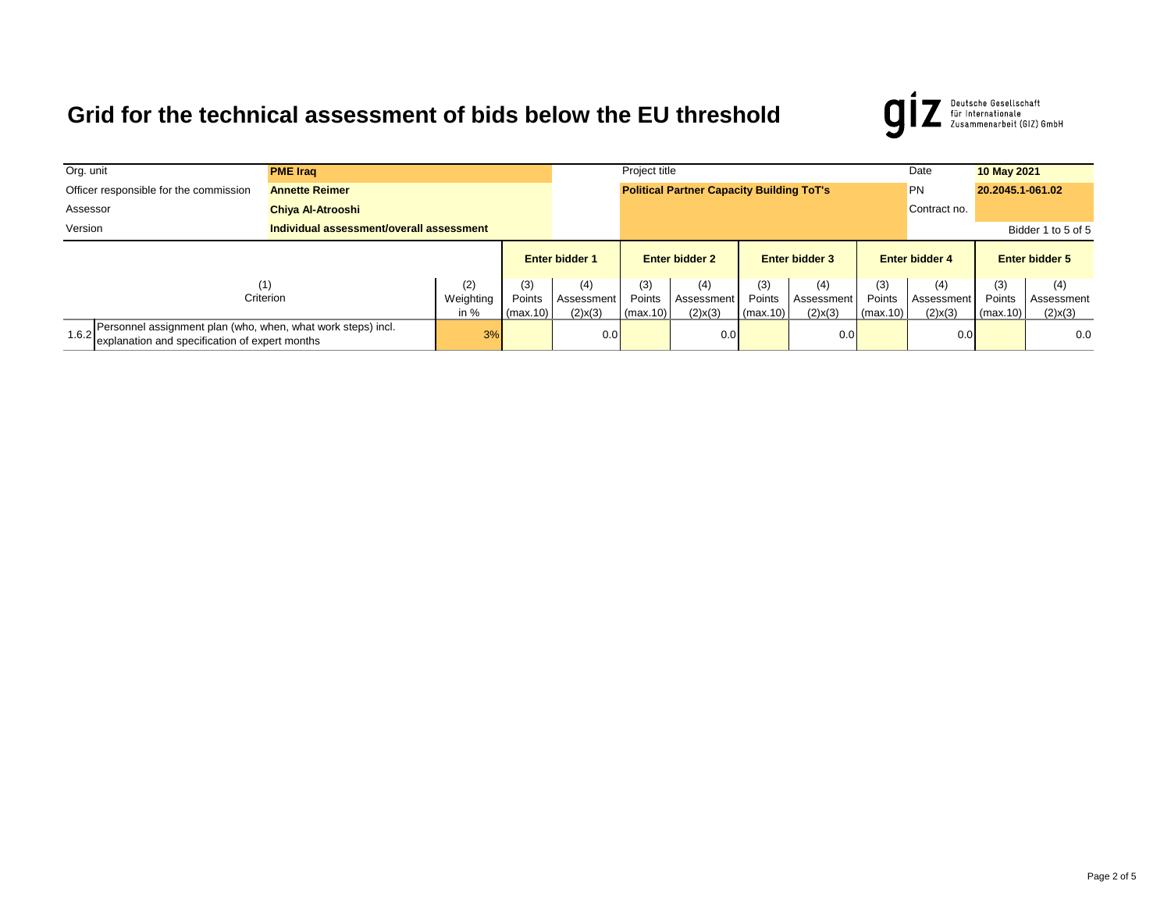

| Org. unit                                                       | <b>PME Iraq</b>                                                                                                |                          |                            |                           |                                    | Project title                                    |                                    |                           |                                   |                           |                                    | 10 May 2021               |                                    |
|-----------------------------------------------------------------|----------------------------------------------------------------------------------------------------------------|--------------------------|----------------------------|---------------------------|------------------------------------|--------------------------------------------------|------------------------------------|---------------------------|-----------------------------------|---------------------------|------------------------------------|---------------------------|------------------------------------|
| Officer responsible for the commission<br><b>Annette Reimer</b> |                                                                                                                |                          |                            |                           |                                    | <b>Political Partner Capacity Building ToT's</b> |                                    |                           | <b>PN</b>                         | 20.2045.1-061.02          |                                    |                           |                                    |
| Assessor                                                        |                                                                                                                | <b>Chiya Al-Atrooshi</b> |                            |                           |                                    |                                                  |                                    |                           |                                   |                           | Contract no.                       |                           |                                    |
| Version<br>Individual assessment/overall assessment             |                                                                                                                |                          |                            |                           |                                    |                                                  |                                    |                           |                                   |                           |                                    |                           | Bidder 1 to 5 of 5                 |
|                                                                 |                                                                                                                |                          |                            |                           | <b>Enter bidder 1</b>              | <b>Enter bidder 2</b>                            |                                    | <b>Enter bidder 3</b>     |                                   | <b>Enter bidder 4</b>     |                                    | <b>Enter bidder 5</b>     |                                    |
|                                                                 | (1)                                                                                                            | Criterion                | (2)<br>Weighting<br>in $%$ | (3)<br>Points<br>(max.10) | (4)<br>Assessment<br>$(2)$ x $(3)$ | (3)<br>Points<br>(max.10)                        | (4)<br>Assessment<br>$(2)$ x $(3)$ | (3)<br>Points<br>(max.10) | (4)<br>Assessmen<br>$(2)$ x $(3)$ | (3)<br>Points<br>(max.10) | (4)<br>Assessment<br>$(2)$ x $(3)$ | (3)<br>Points<br>(max.10) | (4)<br>Assessment<br>$(2)$ x $(3)$ |
| 1.6.2                                                           | Personnel assignment plan (who, when, what work steps) incl.<br>explanation and specification of expert months |                          | 3%                         |                           | 0.0 <sub>l</sub>                   |                                                  | 0.0                                |                           | 0.0                               |                           | 0.0                                |                           | 0.0                                |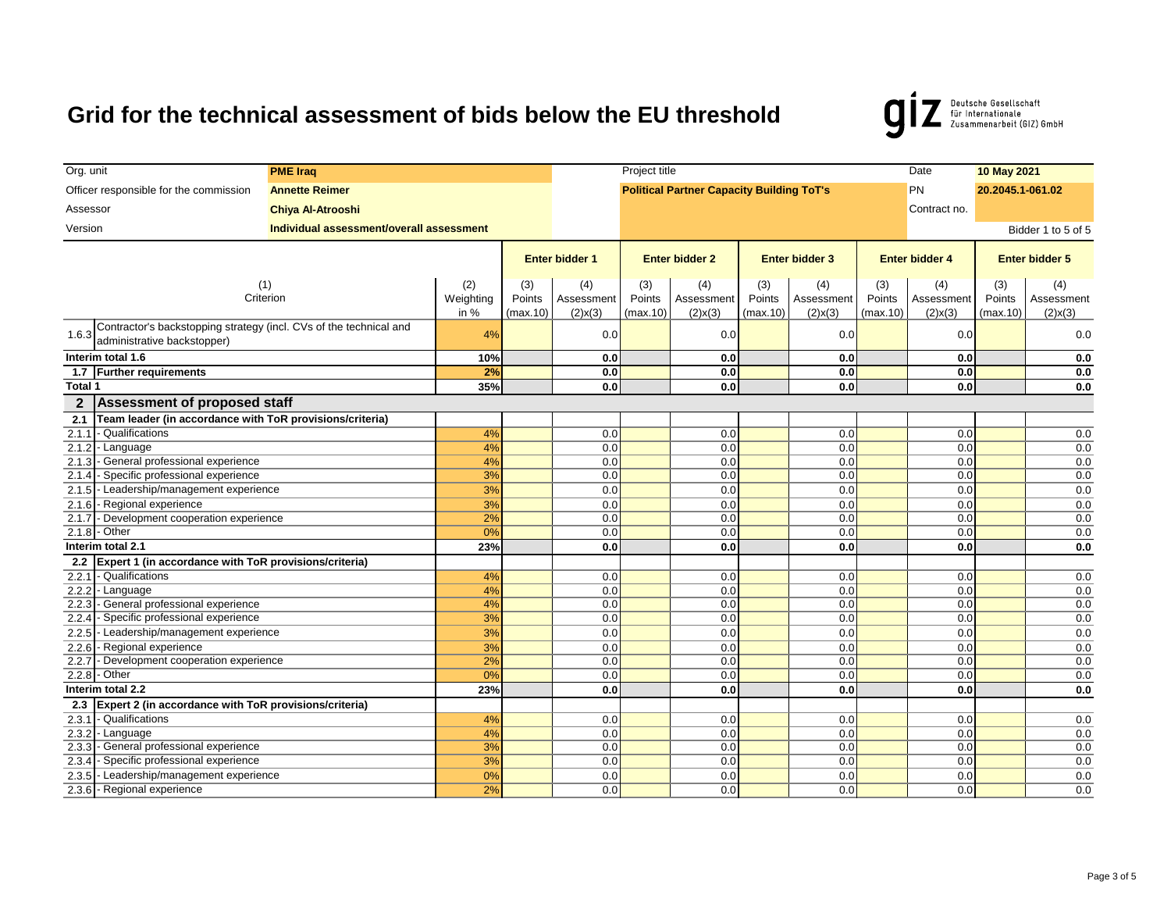Deutsche Gesellschaft<br>für Internationale<br>Zusammenarbeit (GIZ) GmbH  $\boldsymbol{g}$ 

| Officer responsible for the commission<br><b>Political Partner Capacity Building ToT's</b><br><b>PN</b><br><b>Annette Reimer</b><br>20.2045.1-061.02<br>Assessor<br><b>Chiya Al-Atrooshi</b><br>Contract no.<br>Version<br>Individual assessment/overall assessment<br>Bidder 1 to 5 of 5<br><b>Enter bidder 1</b><br><b>Enter bidder 2</b><br><b>Enter bidder 3</b><br><b>Enter bidder 4</b><br><b>Enter bidder 5</b><br>(1)<br>(2)<br>(3)<br>(4)<br>(3)<br>(4)<br>(3)<br>(3)<br>(4)<br>(4)<br>(4)<br>(3)<br>Criterion<br>Weighting<br>Points<br>Points<br>Assessment<br>Points<br>Points<br>Points<br>Assessment<br>Assessment<br>Assessment<br>in $%$<br>$(2)$ x $(3)$<br>(max.10)<br>(max.10)<br>$(2)$ x $(3)$<br>(max.10)<br>$(2)$ x $(3)$<br>(max.10)<br>$(2)$ x $(3)$<br>(max.10)<br>$(2)$ x $(3)$<br>Contractor's backstopping strategy (incl. CVs of the technical and<br>0.0<br>0.0<br>0.0<br>0.0<br>1.6.3<br>4%<br>0.0<br>administrative backstopper)<br>Interim total 1.6<br>10%<br>0.0<br>0.0<br>0.0<br>0.0<br>1.7 Further requirements<br>2%<br>0.0<br>0.0<br>0.0<br>0.0<br>Total 1<br>35%<br>0.0<br>0.0<br>0.0<br>0.0<br><b>Assessment of proposed staff</b><br>$\overline{2}$<br>Team leader (in accordance with ToR provisions/criteria)<br>2.1 | Org. unit | <b>PME Iraq</b> |  |  |  | Project title |  |  | Date | 10 May 2021 |  |  |            |
|------------------------------------------------------------------------------------------------------------------------------------------------------------------------------------------------------------------------------------------------------------------------------------------------------------------------------------------------------------------------------------------------------------------------------------------------------------------------------------------------------------------------------------------------------------------------------------------------------------------------------------------------------------------------------------------------------------------------------------------------------------------------------------------------------------------------------------------------------------------------------------------------------------------------------------------------------------------------------------------------------------------------------------------------------------------------------------------------------------------------------------------------------------------------------------------------------------------------------------------------------------------|-----------|-----------------|--|--|--|---------------|--|--|------|-------------|--|--|------------|
|                                                                                                                                                                                                                                                                                                                                                                                                                                                                                                                                                                                                                                                                                                                                                                                                                                                                                                                                                                                                                                                                                                                                                                                                                                                                  |           |                 |  |  |  |               |  |  |      |             |  |  |            |
|                                                                                                                                                                                                                                                                                                                                                                                                                                                                                                                                                                                                                                                                                                                                                                                                                                                                                                                                                                                                                                                                                                                                                                                                                                                                  |           |                 |  |  |  |               |  |  |      |             |  |  |            |
|                                                                                                                                                                                                                                                                                                                                                                                                                                                                                                                                                                                                                                                                                                                                                                                                                                                                                                                                                                                                                                                                                                                                                                                                                                                                  |           |                 |  |  |  |               |  |  |      |             |  |  |            |
|                                                                                                                                                                                                                                                                                                                                                                                                                                                                                                                                                                                                                                                                                                                                                                                                                                                                                                                                                                                                                                                                                                                                                                                                                                                                  |           |                 |  |  |  |               |  |  |      |             |  |  |            |
|                                                                                                                                                                                                                                                                                                                                                                                                                                                                                                                                                                                                                                                                                                                                                                                                                                                                                                                                                                                                                                                                                                                                                                                                                                                                  |           |                 |  |  |  |               |  |  |      |             |  |  |            |
|                                                                                                                                                                                                                                                                                                                                                                                                                                                                                                                                                                                                                                                                                                                                                                                                                                                                                                                                                                                                                                                                                                                                                                                                                                                                  |           |                 |  |  |  |               |  |  |      |             |  |  |            |
|                                                                                                                                                                                                                                                                                                                                                                                                                                                                                                                                                                                                                                                                                                                                                                                                                                                                                                                                                                                                                                                                                                                                                                                                                                                                  |           |                 |  |  |  |               |  |  |      |             |  |  | Assessment |
|                                                                                                                                                                                                                                                                                                                                                                                                                                                                                                                                                                                                                                                                                                                                                                                                                                                                                                                                                                                                                                                                                                                                                                                                                                                                  |           |                 |  |  |  |               |  |  |      |             |  |  |            |
|                                                                                                                                                                                                                                                                                                                                                                                                                                                                                                                                                                                                                                                                                                                                                                                                                                                                                                                                                                                                                                                                                                                                                                                                                                                                  |           |                 |  |  |  |               |  |  |      |             |  |  |            |
|                                                                                                                                                                                                                                                                                                                                                                                                                                                                                                                                                                                                                                                                                                                                                                                                                                                                                                                                                                                                                                                                                                                                                                                                                                                                  |           |                 |  |  |  |               |  |  |      |             |  |  |            |
|                                                                                                                                                                                                                                                                                                                                                                                                                                                                                                                                                                                                                                                                                                                                                                                                                                                                                                                                                                                                                                                                                                                                                                                                                                                                  |           |                 |  |  |  |               |  |  |      |             |  |  | 0.0        |
|                                                                                                                                                                                                                                                                                                                                                                                                                                                                                                                                                                                                                                                                                                                                                                                                                                                                                                                                                                                                                                                                                                                                                                                                                                                                  |           |                 |  |  |  |               |  |  |      |             |  |  | 0.0        |
|                                                                                                                                                                                                                                                                                                                                                                                                                                                                                                                                                                                                                                                                                                                                                                                                                                                                                                                                                                                                                                                                                                                                                                                                                                                                  |           |                 |  |  |  |               |  |  |      |             |  |  | 0.0        |
|                                                                                                                                                                                                                                                                                                                                                                                                                                                                                                                                                                                                                                                                                                                                                                                                                                                                                                                                                                                                                                                                                                                                                                                                                                                                  |           |                 |  |  |  |               |  |  |      |             |  |  |            |
|                                                                                                                                                                                                                                                                                                                                                                                                                                                                                                                                                                                                                                                                                                                                                                                                                                                                                                                                                                                                                                                                                                                                                                                                                                                                  |           |                 |  |  |  |               |  |  |      |             |  |  |            |
| 2.1.1<br>- Qualifications<br>4%<br>0.0<br>0.0<br>0.0<br>0.0                                                                                                                                                                                                                                                                                                                                                                                                                                                                                                                                                                                                                                                                                                                                                                                                                                                                                                                                                                                                                                                                                                                                                                                                      |           |                 |  |  |  |               |  |  |      |             |  |  | 0.0        |
| 2.1.2<br>- Language<br>4%<br>0.0<br>0.0<br>0.0<br>0.0                                                                                                                                                                                                                                                                                                                                                                                                                                                                                                                                                                                                                                                                                                                                                                                                                                                                                                                                                                                                                                                                                                                                                                                                            |           |                 |  |  |  |               |  |  |      |             |  |  | 0.0        |
| - General professional experience<br>2.1.3<br>4%<br>0.0<br>0.0<br>0.0<br>0.0                                                                                                                                                                                                                                                                                                                                                                                                                                                                                                                                                                                                                                                                                                                                                                                                                                                                                                                                                                                                                                                                                                                                                                                     |           |                 |  |  |  |               |  |  |      |             |  |  | 0.0        |
| 2.1.4<br>- Specific professional experience<br>3%<br>0.0<br>0.0<br>0.0<br>0.0                                                                                                                                                                                                                                                                                                                                                                                                                                                                                                                                                                                                                                                                                                                                                                                                                                                                                                                                                                                                                                                                                                                                                                                    |           |                 |  |  |  |               |  |  |      |             |  |  | 0.0        |
| - Leadership/management experience<br>2.1.5<br>3%<br>0.0<br>0.0<br>0.0<br>0.0                                                                                                                                                                                                                                                                                                                                                                                                                                                                                                                                                                                                                                                                                                                                                                                                                                                                                                                                                                                                                                                                                                                                                                                    |           |                 |  |  |  |               |  |  |      |             |  |  | 0.0        |
| - Regional experience<br>0.0<br>2.1.6<br>3%<br>0.0<br>0.0<br>0.0                                                                                                                                                                                                                                                                                                                                                                                                                                                                                                                                                                                                                                                                                                                                                                                                                                                                                                                                                                                                                                                                                                                                                                                                 |           |                 |  |  |  |               |  |  |      |             |  |  | 0.0        |
| 2.1.7<br>- Development cooperation experience<br>2%<br>0.0<br>0.0<br>0.0<br>0.0                                                                                                                                                                                                                                                                                                                                                                                                                                                                                                                                                                                                                                                                                                                                                                                                                                                                                                                                                                                                                                                                                                                                                                                  |           |                 |  |  |  |               |  |  |      |             |  |  | 0.0        |
| 2.1.8<br>- Other<br>0.0<br>0.0<br>0%<br>0.0<br>0.0                                                                                                                                                                                                                                                                                                                                                                                                                                                                                                                                                                                                                                                                                                                                                                                                                                                                                                                                                                                                                                                                                                                                                                                                               |           |                 |  |  |  |               |  |  |      |             |  |  | 0.0        |
| Interim total 2.1<br>23%<br>0.0<br>0.0<br>0.0<br>0.0                                                                                                                                                                                                                                                                                                                                                                                                                                                                                                                                                                                                                                                                                                                                                                                                                                                                                                                                                                                                                                                                                                                                                                                                             |           |                 |  |  |  |               |  |  |      |             |  |  | 0.0        |
| Expert 1 (in accordance with ToR provisions/criteria)<br>2.2                                                                                                                                                                                                                                                                                                                                                                                                                                                                                                                                                                                                                                                                                                                                                                                                                                                                                                                                                                                                                                                                                                                                                                                                     |           |                 |  |  |  |               |  |  |      |             |  |  |            |
| 2.2.1<br>- Qualifications<br>0.0<br>0.0<br>0.0<br>0.0<br>4%                                                                                                                                                                                                                                                                                                                                                                                                                                                                                                                                                                                                                                                                                                                                                                                                                                                                                                                                                                                                                                                                                                                                                                                                      |           |                 |  |  |  |               |  |  |      |             |  |  | 0.0        |
| 2.2.2<br>- Language<br>4%<br>0.0<br>0.0<br>0.0<br>0.0                                                                                                                                                                                                                                                                                                                                                                                                                                                                                                                                                                                                                                                                                                                                                                                                                                                                                                                                                                                                                                                                                                                                                                                                            |           |                 |  |  |  |               |  |  |      |             |  |  | 0.0        |
| - General professional experience<br>0.0<br>2.2.3<br>4%<br>0.0<br>0.0<br>0.0                                                                                                                                                                                                                                                                                                                                                                                                                                                                                                                                                                                                                                                                                                                                                                                                                                                                                                                                                                                                                                                                                                                                                                                     |           |                 |  |  |  |               |  |  |      |             |  |  | 0.0        |
| - Specific professional experience<br>3%<br>0.0<br>2.2.4<br>0.0<br>0.0<br>0.0                                                                                                                                                                                                                                                                                                                                                                                                                                                                                                                                                                                                                                                                                                                                                                                                                                                                                                                                                                                                                                                                                                                                                                                    |           |                 |  |  |  |               |  |  |      |             |  |  | 0.0        |
| 2.2.5<br>- Leadership/management experience<br>3%<br>0.0<br>0.0<br>0.0<br>0.0<br>0.0<br>0.0<br>0.0<br>0.0                                                                                                                                                                                                                                                                                                                                                                                                                                                                                                                                                                                                                                                                                                                                                                                                                                                                                                                                                                                                                                                                                                                                                        |           |                 |  |  |  |               |  |  |      |             |  |  | 0.0        |
| 2.2.6<br>- Regional experience<br>3%<br>2%<br>0.0<br>2.2.7<br>- Development cooperation experience<br>0.0<br>0.0<br>0.0                                                                                                                                                                                                                                                                                                                                                                                                                                                                                                                                                                                                                                                                                                                                                                                                                                                                                                                                                                                                                                                                                                                                          |           |                 |  |  |  |               |  |  |      |             |  |  | 0.0<br>0.0 |
| 2.2.8 - Other<br>0.0<br>0.0<br>0.0<br>0%<br>0.0                                                                                                                                                                                                                                                                                                                                                                                                                                                                                                                                                                                                                                                                                                                                                                                                                                                                                                                                                                                                                                                                                                                                                                                                                  |           |                 |  |  |  |               |  |  |      |             |  |  | 0.0        |
| Interim total 2.2<br>23%<br>0.0<br>0.0<br>0.0<br>0.0                                                                                                                                                                                                                                                                                                                                                                                                                                                                                                                                                                                                                                                                                                                                                                                                                                                                                                                                                                                                                                                                                                                                                                                                             |           |                 |  |  |  |               |  |  |      |             |  |  | 0.0        |
| 2.3 Expert 2 (in accordance with ToR provisions/criteria)                                                                                                                                                                                                                                                                                                                                                                                                                                                                                                                                                                                                                                                                                                                                                                                                                                                                                                                                                                                                                                                                                                                                                                                                        |           |                 |  |  |  |               |  |  |      |             |  |  |            |
| 2.3.1<br>- Qualifications<br>0.0<br>0.0<br>0.0<br>4%<br>0.0                                                                                                                                                                                                                                                                                                                                                                                                                                                                                                                                                                                                                                                                                                                                                                                                                                                                                                                                                                                                                                                                                                                                                                                                      |           |                 |  |  |  |               |  |  |      |             |  |  | 0.0        |
| 0.0<br>0.0<br>2.3.2<br>- Language<br>4%<br>0.0<br>0.0                                                                                                                                                                                                                                                                                                                                                                                                                                                                                                                                                                                                                                                                                                                                                                                                                                                                                                                                                                                                                                                                                                                                                                                                            |           |                 |  |  |  |               |  |  |      |             |  |  | 0.0        |
| - General professional experience<br>3%<br>0.0<br>0.0<br>0.0<br>0.0<br>2.3.3                                                                                                                                                                                                                                                                                                                                                                                                                                                                                                                                                                                                                                                                                                                                                                                                                                                                                                                                                                                                                                                                                                                                                                                     |           |                 |  |  |  |               |  |  |      |             |  |  | 0.0        |
| 2.3.4<br>- Specific professional experience<br>3%<br>0.0<br>0.0<br>0.0<br>0.0                                                                                                                                                                                                                                                                                                                                                                                                                                                                                                                                                                                                                                                                                                                                                                                                                                                                                                                                                                                                                                                                                                                                                                                    |           |                 |  |  |  |               |  |  |      |             |  |  | 0.0        |
| 2.3.5 - Leadership/management experience<br>0.0<br>0.0<br>0.0<br>0.0<br>0%                                                                                                                                                                                                                                                                                                                                                                                                                                                                                                                                                                                                                                                                                                                                                                                                                                                                                                                                                                                                                                                                                                                                                                                       |           |                 |  |  |  |               |  |  |      |             |  |  | 0.0        |
| 2.3.6 - Regional experience<br>0.0<br>2%<br>0.0<br>0.0<br>0.0                                                                                                                                                                                                                                                                                                                                                                                                                                                                                                                                                                                                                                                                                                                                                                                                                                                                                                                                                                                                                                                                                                                                                                                                    |           |                 |  |  |  |               |  |  |      |             |  |  | 0.0        |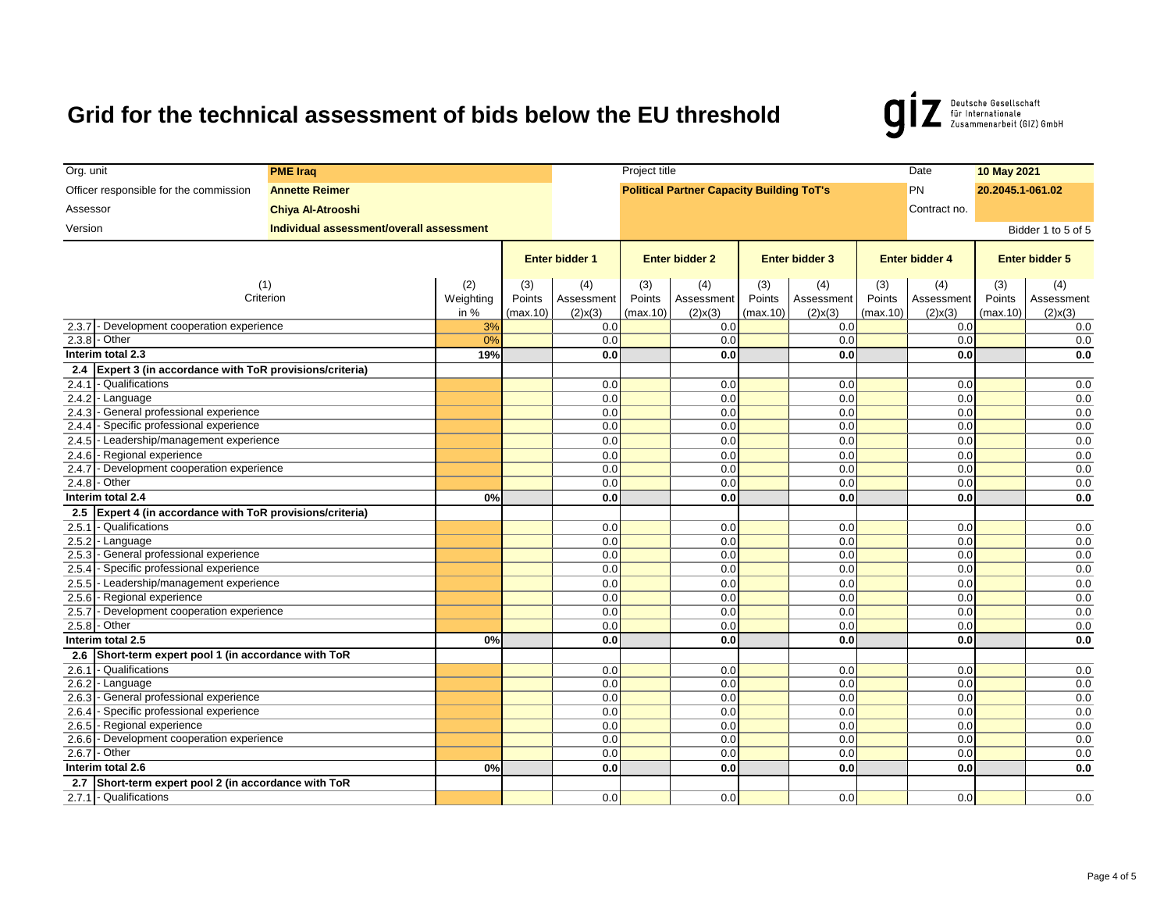Deutsche Gesellschaft<br>für Internationale<br>Zusammenarbeit (GIZ) GmbH  $\boldsymbol{g}$ 

| Org. unit                                                                                 | <b>PME Iraq</b>                          |                  |                       |                   |                       |                                                  | Project title         |                   |                       |                   |                       |                    |  |  |
|-------------------------------------------------------------------------------------------|------------------------------------------|------------------|-----------------------|-------------------|-----------------------|--------------------------------------------------|-----------------------|-------------------|-----------------------|-------------------|-----------------------|--------------------|--|--|
| Officer responsible for the commission                                                    | <b>Annette Reimer</b>                    |                  |                       |                   |                       | <b>Political Partner Capacity Building ToT's</b> |                       |                   |                       | PN                | 20.2045.1-061.02      |                    |  |  |
| Assessor                                                                                  | <b>Chiya Al-Atrooshi</b>                 |                  |                       |                   |                       |                                                  |                       |                   |                       | Contract no.      |                       |                    |  |  |
| Version                                                                                   | Individual assessment/overall assessment |                  |                       |                   |                       |                                                  |                       |                   |                       |                   |                       |                    |  |  |
|                                                                                           |                                          |                  |                       |                   |                       |                                                  |                       |                   |                       |                   |                       | Bidder 1 to 5 of 5 |  |  |
|                                                                                           |                                          |                  | <b>Enter bidder 1</b> |                   | <b>Enter bidder 2</b> |                                                  | <b>Enter bidder 3</b> |                   | <b>Enter bidder 4</b> |                   | <b>Enter bidder 5</b> |                    |  |  |
|                                                                                           |                                          |                  |                       |                   |                       |                                                  |                       |                   |                       |                   |                       |                    |  |  |
|                                                                                           | (1)<br>Criterion                         | (2)<br>Weighting | (3)<br>Points         | (4)<br>Assessment | (3)<br>Points         | (4)<br>Assessment                                | (3)<br>Points         | (4)<br>Assessment | (3)<br>Points         | (4)<br>Assessment | (3)<br>Points         | (4)<br>Assessment  |  |  |
|                                                                                           |                                          | in $%$           | (max.10)              | $(2)$ x $(3)$     | (max.10)              | $(2)$ x $(3)$                                    | (max.10)              | $(2)$ x $(3)$     | (max.10)              | $(2)$ x $(3)$     | (max.10)              | $(2)$ x $(3)$      |  |  |
| Development cooperation experience<br>2.3.7                                               |                                          | 3%               |                       | 0.0               |                       | 0.0                                              |                       | 0.0               |                       | 0.0               |                       | 0.0                |  |  |
| $2.3.8 - Other$                                                                           |                                          | 0%               |                       | 0.0               |                       | 0.0                                              |                       | 0.0               |                       | 0.0               |                       | 0.0                |  |  |
| Interim total 2.3                                                                         |                                          | 19%              |                       | 0.0               |                       | 0.0                                              |                       | 0.0               |                       | 0.0               |                       | 0.0                |  |  |
| Expert 3 (in accordance with ToR provisions/criteria)<br>2.4                              |                                          |                  |                       |                   |                       |                                                  |                       |                   |                       |                   |                       |                    |  |  |
| - Qualifications<br>2.4.1                                                                 |                                          |                  |                       | 0.0               |                       | 0.0                                              |                       | 0.0               |                       | 0.0               |                       | 0.0                |  |  |
| 2.4.2<br>- Language                                                                       |                                          |                  |                       | 0.0               |                       | 0.0                                              |                       | 0.0               |                       | 0.0               |                       | 0.0                |  |  |
| - General professional experience<br>2.4.3                                                |                                          |                  |                       | 0.0               |                       | 0.0                                              |                       | 0.0               |                       | 0.0               |                       | 0.0                |  |  |
| - Specific professional experience<br>2.4.4                                               |                                          |                  |                       | 0.0               |                       | 0.0                                              |                       | 0.0               |                       | 0.0               |                       | 0.0                |  |  |
| 2.4.5<br>- Leadership/management experience                                               |                                          |                  |                       | 0.0               |                       | 0.0                                              |                       | 0.0               |                       | 0.0               |                       | 0.0                |  |  |
| - Regional experience<br>2.4.6                                                            |                                          |                  |                       | 0.0               |                       | 0.0                                              |                       | 0.0               |                       | 0.0               |                       | 0.0                |  |  |
| - Development cooperation experience<br>2.4.7                                             |                                          |                  |                       | 0.0               |                       | 0.0                                              |                       | 0.0               |                       | 0.0               |                       | 0.0                |  |  |
| 2.4.8<br>- Other                                                                          |                                          |                  |                       | 0.0               |                       | 0.0                                              |                       | 0.0               |                       | 0.0               |                       | 0.0                |  |  |
| Interim total 2.4                                                                         |                                          | 0%               |                       | 0.0               |                       | 0.0                                              |                       | 0.0               |                       | 0.0               |                       | 0.0                |  |  |
| Expert 4 (in accordance with ToR provisions/criteria)<br>2.5                              |                                          |                  |                       |                   |                       |                                                  |                       |                   |                       |                   |                       |                    |  |  |
| 2.5.1<br>- Qualifications                                                                 |                                          |                  |                       | 0.0               |                       | 0.0                                              |                       | 0.0               |                       | 0.0               |                       | 0.0                |  |  |
| 2.5.2<br>- Language                                                                       |                                          |                  |                       | 0.0               |                       | 0.0                                              |                       | 0.0               |                       | 0.0               |                       | 0.0                |  |  |
| - General professional experience<br>2.5.3                                                |                                          |                  |                       | 0.0               |                       | 0.0                                              |                       | 0.0               |                       | 0.0               |                       | 0.0                |  |  |
| 2.5.4<br>- Specific professional experience                                               |                                          |                  |                       | 0.0               |                       | 0.0                                              |                       | 0.0               |                       | 0.0               |                       | 0.0                |  |  |
| - Leadership/management experience<br>2.5.5                                               |                                          |                  |                       | 0.0               |                       | 0.0                                              |                       | 0.0               |                       | 0.0               |                       | 0.0                |  |  |
| - Regional experience<br>2.5.6                                                            |                                          |                  |                       | 0.0               |                       | 0.0                                              |                       | 0.0               |                       | 0.0               |                       | 0.0                |  |  |
| - Development cooperation experience<br>2.5.7                                             |                                          |                  |                       | 0.0               |                       | 0.0                                              |                       | 0.0               |                       | 0.0               |                       | 0.0                |  |  |
| $2.5.8 - Other$                                                                           |                                          |                  |                       | 0.0               |                       | 0.0                                              |                       | 0.0               |                       | 0.0               |                       | 0.0                |  |  |
| Interim total 2.5                                                                         |                                          | 0%               |                       | 0.0               |                       | 0.0                                              |                       | 0.0               |                       | 0.0               |                       | 0.0                |  |  |
| 2.6<br>Short-term expert pool 1 (in accordance with ToR                                   |                                          |                  |                       |                   |                       |                                                  |                       |                   |                       |                   |                       |                    |  |  |
| - Qualifications<br>2.6.1                                                                 |                                          |                  |                       | 0.0               |                       | 0.0                                              |                       | 0.0               |                       | 0.0               |                       | 0.0                |  |  |
| 2.6.2<br>- Language                                                                       |                                          |                  |                       | 0.0               |                       | 0.0                                              |                       | 0.0               |                       | 0.0               |                       | 0.0                |  |  |
| - General professional experience<br>2.6.3<br>2.6.4<br>- Specific professional experience |                                          |                  |                       | 0.0<br>0.0        |                       | 0.0<br>0.0                                       |                       | 0.0<br>0.0        |                       | 0.0<br>0.0        |                       | 0.0<br>0.0         |  |  |
| 2.6.5<br>- Regional experience                                                            |                                          |                  |                       | 0.0               |                       | 0.0                                              |                       | 0.0               |                       | 0.0               |                       | 0.0                |  |  |
| - Development cooperation experience<br>2.6.6                                             |                                          |                  |                       | 0.0               |                       | 0.0                                              |                       | 0.0               |                       | 0.0               |                       | 0.0                |  |  |
| - Other<br>2.6.7                                                                          |                                          |                  |                       | 0.0               |                       | 0.0                                              |                       | 0.0               |                       | 0.0               |                       | 0.0                |  |  |
| Interim total 2.6                                                                         |                                          | 0%               |                       | 0.0               |                       | 0.0                                              |                       | 0.0               |                       | 0.0               |                       | 0.0                |  |  |
| Short-term expert pool 2 (in accordance with ToR<br>2.7                                   |                                          |                  |                       |                   |                       |                                                  |                       |                   |                       |                   |                       |                    |  |  |
| 2.7.1 - Qualifications                                                                    |                                          |                  |                       | 0.0               |                       | 0.0                                              |                       | 0.0               |                       | 0.0               |                       | 0.0                |  |  |
|                                                                                           |                                          |                  |                       |                   |                       |                                                  |                       |                   |                       |                   |                       |                    |  |  |